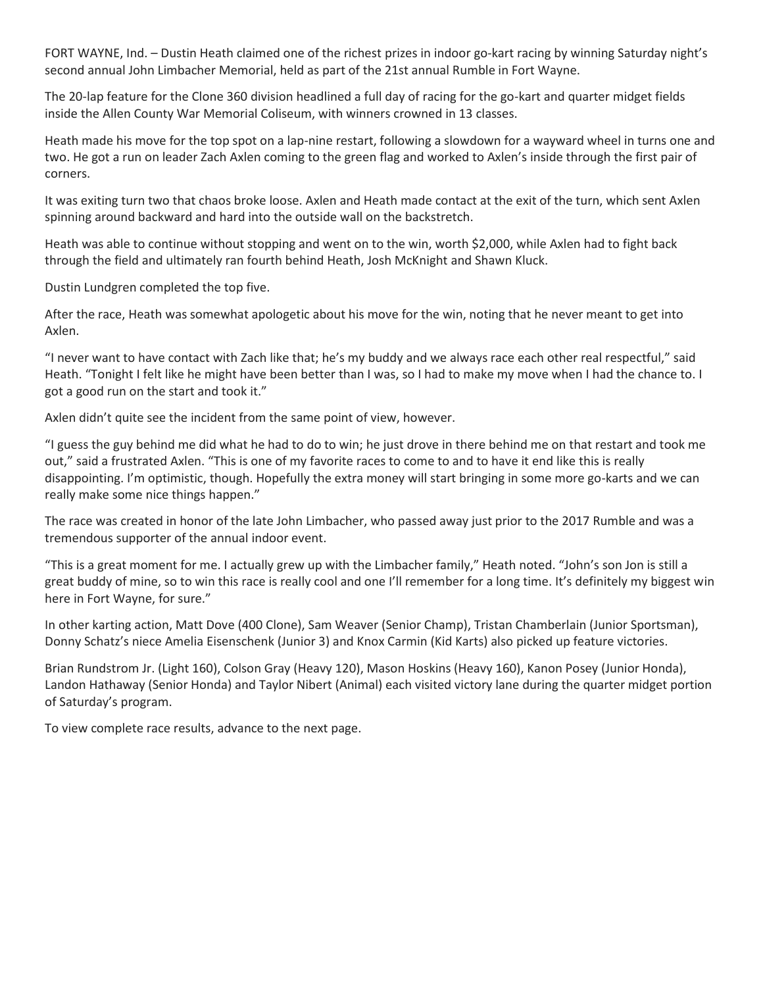FORT WAYNE, Ind. – Dustin Heath claimed one of the richest prizes in indoor go-kart racing by winning Saturday night's second annual John Limbacher Memorial, held as part of the 21st annual Rumble in Fort Wayne.

The 20-lap feature for the Clone 360 division headlined a full day of racing for the go-kart and quarter midget fields inside the Allen County War Memorial Coliseum, with winners crowned in 13 classes.

Heath made his move for the top spot on a lap-nine restart, following a slowdown for a wayward wheel in turns one and two. He got a run on leader Zach Axlen coming to the green flag and worked to Axlen's inside through the first pair of corners.

It was exiting turn two that chaos broke loose. Axlen and Heath made contact at the exit of the turn, which sent Axlen spinning around backward and hard into the outside wall on the backstretch.

Heath was able to continue without stopping and went on to the win, worth \$2,000, while Axlen had to fight back through the field and ultimately ran fourth behind Heath, Josh McKnight and Shawn Kluck.

Dustin Lundgren completed the top five.

After the race, Heath was somewhat apologetic about his move for the win, noting that he never meant to get into Axlen.

"I never want to have contact with Zach like that; he's my buddy and we always race each other real respectful," said Heath. "Tonight I felt like he might have been better than I was, so I had to make my move when I had the chance to. I got a good run on the start and took it."

Axlen didn't quite see the incident from the same point of view, however.

"I guess the guy behind me did what he had to do to win; he just drove in there behind me on that restart and took me out," said a frustrated Axlen. "This is one of my favorite races to come to and to have it end like this is really disappointing. I'm optimistic, though. Hopefully the extra money will start bringing in some more go-karts and we can really make some nice things happen."

The race was created in honor of the late John Limbacher, who passed away just prior to the 2017 Rumble and was a tremendous supporter of the annual indoor event.

"This is a great moment for me. I actually grew up with the Limbacher family," Heath noted. "John's son Jon is still a great buddy of mine, so to win this race is really cool and one I'll remember for a long time. It's definitely my biggest win here in Fort Wayne, for sure."

In other karting action, Matt Dove (400 Clone), Sam Weaver (Senior Champ), Tristan Chamberlain (Junior Sportsman), Donny Schatz's niece Amelia Eisenschenk (Junior 3) and Knox Carmin (Kid Karts) also picked up feature victories.

Brian Rundstrom Jr. (Light 160), Colson Gray (Heavy 120), Mason Hoskins (Heavy 160), Kanon Posey (Junior Honda), Landon Hathaway (Senior Honda) and Taylor Nibert (Animal) each visited victory lane during the quarter midget portion of Saturday's program.

To view complete race results, advance to the next page.